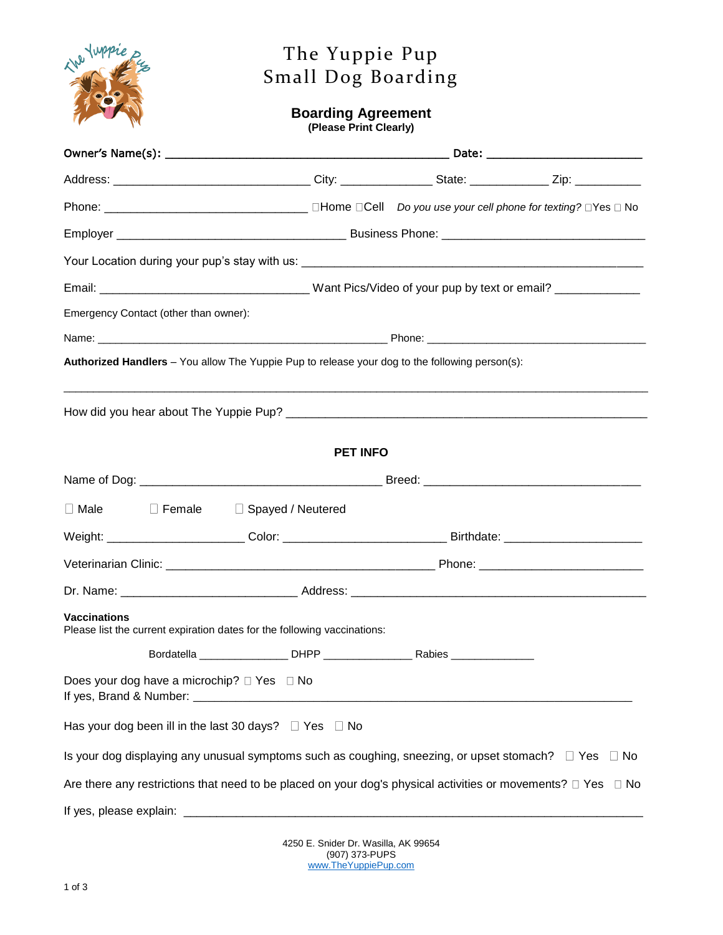

## The Yuppie Pup Small Dog Boarding

## **Boarding Agreement**

**(Please Print Clearly)**

|                                                                       | Your Location during your pup's stay with us:                                                                   |  |           |  |
|-----------------------------------------------------------------------|-----------------------------------------------------------------------------------------------------------------|--|-----------|--|
|                                                                       |                                                                                                                 |  |           |  |
| Emergency Contact (other than owner):                                 |                                                                                                                 |  |           |  |
|                                                                       |                                                                                                                 |  |           |  |
|                                                                       | Authorized Handlers - You allow The Yuppie Pup to release your dog to the following person(s):                  |  |           |  |
|                                                                       |                                                                                                                 |  |           |  |
|                                                                       | <b>PET INFO</b>                                                                                                 |  |           |  |
|                                                                       |                                                                                                                 |  |           |  |
| $\Box$ Male<br>$\square$ Female                                       | □ Spayed / Neutered                                                                                             |  |           |  |
|                                                                       |                                                                                                                 |  |           |  |
|                                                                       |                                                                                                                 |  |           |  |
|                                                                       |                                                                                                                 |  |           |  |
| <b>Vaccinations</b>                                                   | Please list the current expiration dates for the following vaccinations:                                        |  |           |  |
|                                                                       |                                                                                                                 |  |           |  |
| Does your dog have a microchip? □ Yes □ No<br>If yes, Brand & Number: |                                                                                                                 |  |           |  |
| Has your dog been ill in the last 30 days? $\Box$ Yes                 | $\Box$ No                                                                                                       |  |           |  |
|                                                                       | Is your dog displaying any unusual symptoms such as coughing, sneezing, or upset stomach? $\square$ Yes         |  | $\Box$ No |  |
|                                                                       | Are there any restrictions that need to be placed on your dog's physical activities or movements? $\square$ Yes |  | $\Box$ No |  |
| If yes, please explain:                                               |                                                                                                                 |  |           |  |

4250 E. Snider Dr. Wasilla, AK 99654 (907) 373-PUPS [www.TheYuppiePup.com](http://www.theyuppiepup.com/)